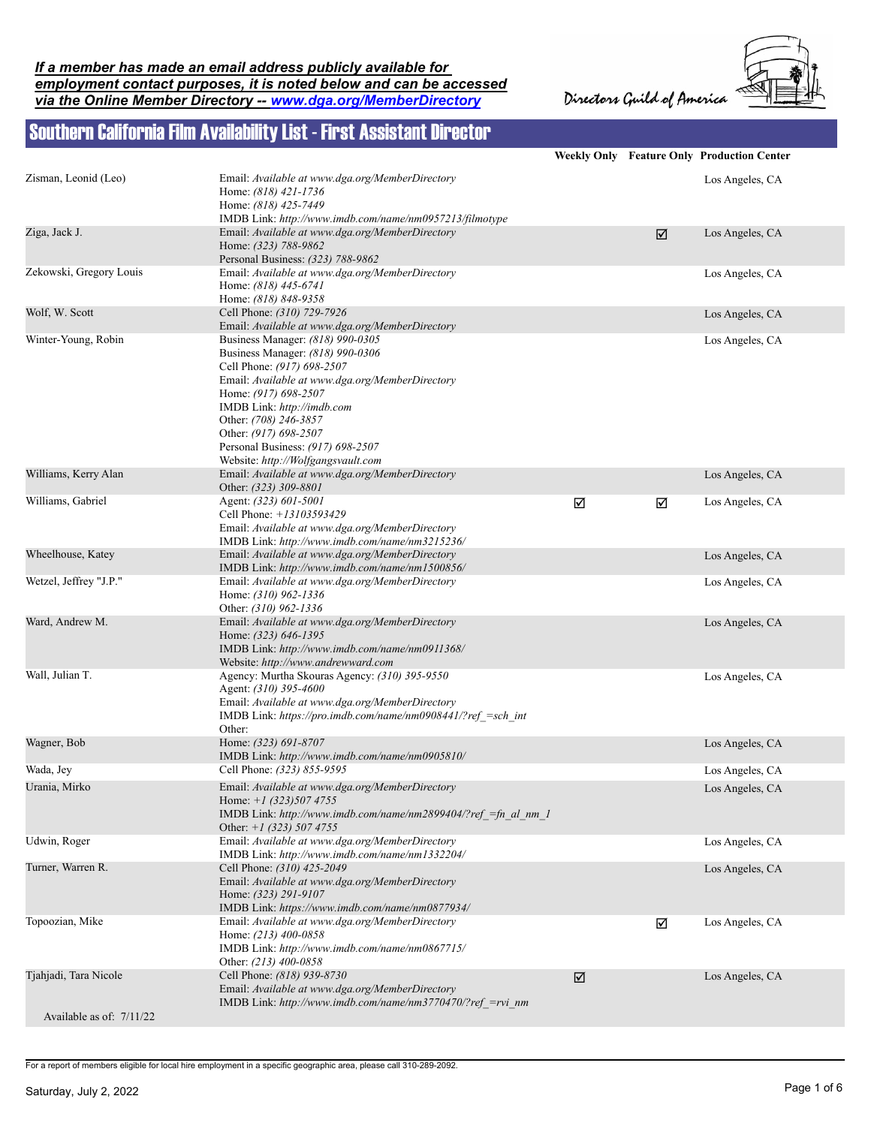*If a member has made an email address publicly available for employment contact purposes, it is noted below and can be accessed via the Online Member Directory -- www.dga.org/MemberDirectory*

Directors Guild of America



## Southern California Film Availability List - First Assistant Director

|                          |                                                                                                                                                                                                                                                                                                    |   |   | <b>Weekly Only Feature Only Production Center</b> |
|--------------------------|----------------------------------------------------------------------------------------------------------------------------------------------------------------------------------------------------------------------------------------------------------------------------------------------------|---|---|---------------------------------------------------|
| Zisman, Leonid (Leo)     | Email: Available at www.dga.org/MemberDirectory<br>Home: (818) 421-1736                                                                                                                                                                                                                            |   |   | Los Angeles, CA                                   |
|                          | Home: (818) 425-7449<br>IMDB Link: http://www.imdb.com/name/nm0957213/filmotype                                                                                                                                                                                                                    |   |   |                                                   |
| Ziga, Jack J.            | Email: Available at www.dga.org/MemberDirectory<br>Home: (323) 788-9862<br>Personal Business: (323) 788-9862                                                                                                                                                                                       |   | ☑ | Los Angeles, CA                                   |
| Zekowski, Gregory Louis  | Email: Available at www.dga.org/MemberDirectory<br>Home: (818) 445-6741<br>Home: (818) 848-9358                                                                                                                                                                                                    |   |   | Los Angeles, CA                                   |
| Wolf, W. Scott           | Cell Phone: (310) 729-7926<br>Email: Available at www.dga.org/MemberDirectory                                                                                                                                                                                                                      |   |   | Los Angeles, CA                                   |
| Winter-Young, Robin      | Business Manager: (818) 990-0305<br>Business Manager: (818) 990-0306<br>Cell Phone: (917) 698-2507<br>Email: Available at www.dga.org/MemberDirectory<br>Home: (917) 698-2507<br>IMDB Link: http://imdb.com<br>Other: (708) 246-3857<br>Other: (917) 698-2507<br>Personal Business: (917) 698-2507 |   |   | Los Angeles, CA                                   |
| Williams, Kerry Alan     | Website: http://Wolfgangsvault.com<br>Email: Available at www.dga.org/MemberDirectory<br>Other: (323) 309-8801                                                                                                                                                                                     |   |   | Los Angeles, CA                                   |
| Williams, Gabriel        | Agent: (323) 601-5001<br>Cell Phone: +13103593429<br>Email: Available at www.dga.org/MemberDirectory<br>IMDB Link: http://www.imdb.com/name/nm3215236/                                                                                                                                             | ☑ | ☑ | Los Angeles, CA                                   |
| Wheelhouse, Katey        | Email: Available at www.dga.org/MemberDirectory<br>IMDB Link: http://www.imdb.com/name/nm1500856/                                                                                                                                                                                                  |   |   | Los Angeles, CA                                   |
| Wetzel, Jeffrey "J.P."   | Email: Available at www.dga.org/MemberDirectory<br>Home: (310) 962-1336<br>Other: (310) 962-1336                                                                                                                                                                                                   |   |   | Los Angeles, CA                                   |
| Ward, Andrew M.          | Email: Available at www.dga.org/MemberDirectory<br>Home: (323) 646-1395<br>IMDB Link: http://www.imdb.com/name/nm0911368/<br>Website: http://www.andrewward.com                                                                                                                                    |   |   | Los Angeles, CA                                   |
| Wall, Julian T.          | Agency: Murtha Skouras Agency: (310) 395-9550<br>Agent: (310) 395-4600<br>Email: Available at www.dga.org/MemberDirectory<br>IMDB Link: https://pro.imdb.com/name/nm0908441/?ref_=sch_int<br>Other:                                                                                                |   |   | Los Angeles, CA                                   |
| Wagner, Bob              | Home: (323) 691-8707<br>IMDB Link: http://www.imdb.com/name/nm0905810/                                                                                                                                                                                                                             |   |   | Los Angeles, CA                                   |
| Wada, Jey                | Cell Phone: (323) 855-9595                                                                                                                                                                                                                                                                         |   |   | Los Angeles, CA                                   |
| Urania, Mirko            | Email: Available at www.dga.org/MemberDirectory<br>Home: $+1$ (323)507 4755<br>IMDB Link: http://www.imdb.com/name/nm2899404/?ref =fn al nm 1<br>Other: $+1$ (323) 507 4755                                                                                                                        |   |   | Los Angeles, CA                                   |
| Udwin, Roger             | Email: Available at www.dga.org/MemberDirectory<br>IMDB Link: http://www.imdb.com/name/nm1332204/                                                                                                                                                                                                  |   |   | Los Angeles, CA                                   |
| Turner, Warren R.        | Cell Phone: (310) 425-2049<br>Email: Available at www.dga.org/MemberDirectory<br>Home: (323) 291-9107<br>IMDB Link: https://www.imdb.com/name/nm0877934/                                                                                                                                           |   |   | Los Angeles, CA                                   |
| Topoozian, Mike          | Email: Available at www.dga.org/MemberDirectory<br>Home: (213) 400-0858<br>IMDB Link: http://www.imdb.com/name/nm0867715/<br>Other: (213) 400-0858                                                                                                                                                 |   | ☑ | Los Angeles, CA                                   |
| Tjahjadi, Tara Nicole    | Cell Phone: (818) 939-8730<br>Email: Available at www.dga.org/MemberDirectory<br>IMDB Link: http://www.imdb.com/name/nm3770470/?ref =rvi nm                                                                                                                                                        | ☑ |   | Los Angeles, CA                                   |
| Available as of: 7/11/22 |                                                                                                                                                                                                                                                                                                    |   |   |                                                   |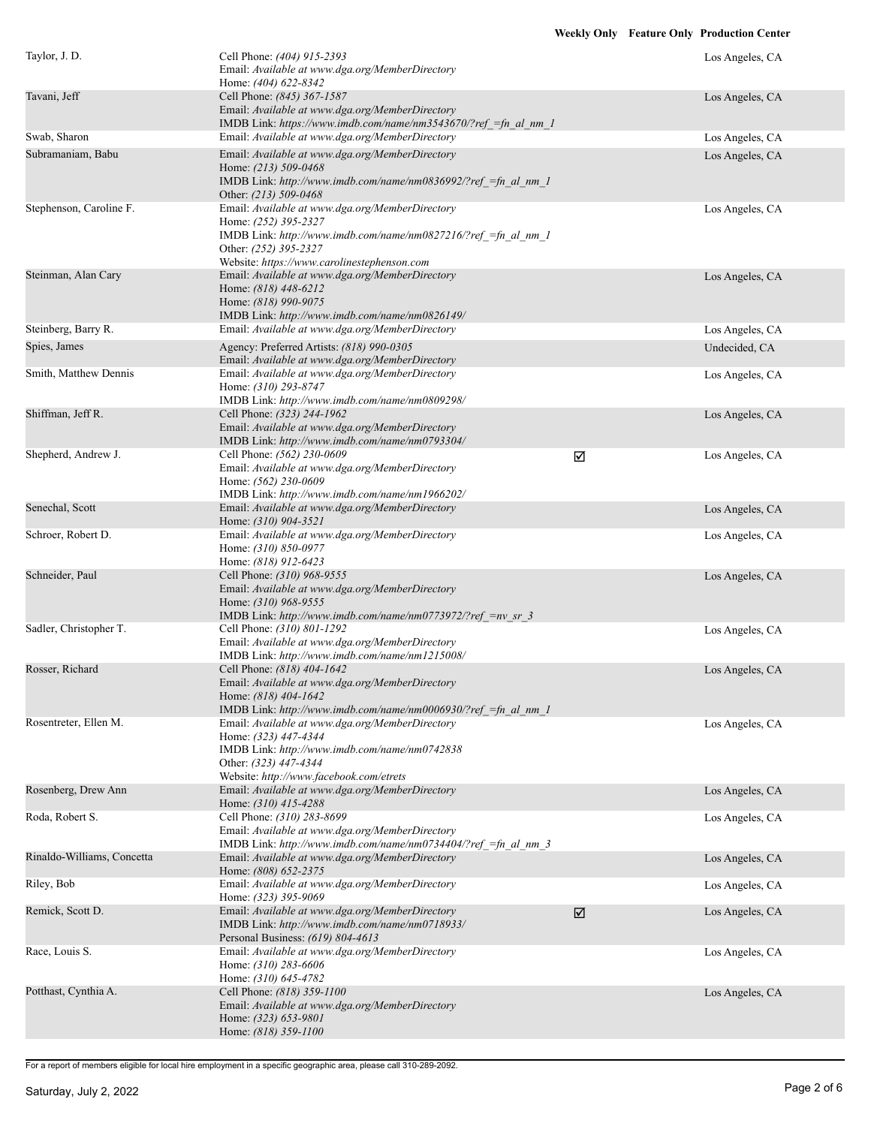| Taylor, J. D.              | Cell Phone: (404) 915-2393<br>Email: Available at www.dga.org/MemberDirectory<br>Home: (404) 622-8342                                                                                                             |                      | Los Angeles, CA |
|----------------------------|-------------------------------------------------------------------------------------------------------------------------------------------------------------------------------------------------------------------|----------------------|-----------------|
| Tavani, Jeff               | Cell Phone: (845) 367-1587<br>Email: Available at www.dga.org/MemberDirectory<br>IMDB Link: https://www.imdb.com/name/nm3543670/?ref =fn al nm 1                                                                  |                      | Los Angeles, CA |
| Swab, Sharon               | Email: Available at www.dga.org/MemberDirectory                                                                                                                                                                   |                      | Los Angeles, CA |
| Subramaniam, Babu          | Email: Available at www.dga.org/MemberDirectory<br>Home: (213) 509-0468<br>IMDB Link: http://www.imdb.com/name/nm0836992/?ref =fn al nm 1<br>Other: (213) 509-0468                                                |                      | Los Angeles, CA |
| Stephenson, Caroline F.    | Email: Available at www.dga.org/MemberDirectory<br>Home: (252) 395-2327<br>IMDB Link: http://www.imdb.com/name/nm0827216/?ref_=fn_al_nm_1<br>Other: (252) 395-2327<br>Website: https://www.carolinestephenson.com |                      | Los Angeles, CA |
| Steinman, Alan Cary        | Email: Available at www.dga.org/MemberDirectory<br>Home: (818) 448-6212<br>Home: (818) 990-9075<br>IMDB Link: http://www.imdb.com/name/nm0826149/                                                                 |                      | Los Angeles, CA |
| Steinberg, Barry R.        | Email: Available at www.dga.org/MemberDirectory                                                                                                                                                                   |                      | Los Angeles, CA |
| Spies, James               | Agency: Preferred Artists: (818) 990-0305                                                                                                                                                                         |                      | Undecided, CA   |
|                            | Email: Available at www.dga.org/MemberDirectory                                                                                                                                                                   |                      |                 |
| Smith, Matthew Dennis      | Email: Available at www.dga.org/MemberDirectory<br>Home: (310) 293-8747<br>IMDB Link: http://www.imdb.com/name/nm0809298/                                                                                         |                      | Los Angeles, CA |
| Shiffman, Jeff R.          | Cell Phone: (323) 244-1962<br>Email: Available at www.dga.org/MemberDirectory<br>IMDB Link: http://www.imdb.com/name/nm0793304/                                                                                   |                      | Los Angeles, CA |
| Shepherd, Andrew J.        | Cell Phone: (562) 230-0609<br>Email: Available at www.dga.org/MemberDirectory<br>Home: (562) 230-0609<br>IMDB Link: http://www.imdb.com/name/nm1966202/                                                           | ☑                    | Los Angeles, CA |
| Senechal, Scott            | Email: Available at www.dga.org/MemberDirectory<br>Home: (310) 904-3521                                                                                                                                           |                      | Los Angeles, CA |
| Schroer, Robert D.         | Email: Available at www.dga.org/MemberDirectory<br>Home: (310) 850-0977<br>Home: (818) 912-6423                                                                                                                   |                      | Los Angeles, CA |
| Schneider, Paul            | Cell Phone: (310) 968-9555<br>Email: Available at www.dga.org/MemberDirectory<br>Home: (310) 968-9555<br>IMDB Link: http://www.imdb.com/name/nm0773972/?ref =nv sr 3                                              |                      | Los Angeles, CA |
| Sadler, Christopher T.     | Cell Phone: (310) 801-1292<br>Email: Available at www.dga.org/MemberDirectory<br>IMDB Link: http://www.imdb.com/name/nm1215008/                                                                                   |                      | Los Angeles, CA |
| Rosser, Richard            | Cell Phone: (818) 404-1642<br>Email: Available at www.dga.org/MemberDirectory<br>Home: (818) 404-1642<br>IMDB Link: http://www.imdb.com/name/nm0006930/?ref_=fn_al_nm_1                                           |                      | Los Angeles, CA |
| Rosentreter, Ellen M.      | Email: Available at www.dga.org/MemberDirectory<br>Home: (323) 447-4344<br>IMDB Link: http://www.imdb.com/name/nm0742838<br>Other: (323) 447-4344<br>Website: http://www.facebook.com/etrets                      |                      | Los Angeles, CA |
| Rosenberg, Drew Ann        | Email: Available at www.dga.org/MemberDirectory<br>Home: (310) 415-4288                                                                                                                                           |                      | Los Angeles, CA |
| Roda, Robert S.            | Cell Phone: (310) 283-8699<br>Email: Available at www.dga.org/MemberDirectory<br>IMDB Link: http://www.imdb.com/name/nm0734404/?ref = fn al nm 3                                                                  |                      | Los Angeles, CA |
| Rinaldo-Williams, Concetta | Email: Available at www.dga.org/MemberDirectory<br>Home: (808) 652-2375                                                                                                                                           |                      | Los Angeles, CA |
| Riley, Bob                 | Email: Available at www.dga.org/MemberDirectory<br>Home: (323) 395-9069                                                                                                                                           |                      | Los Angeles, CA |
| Remick, Scott D.           | Email: Available at www.dga.org/MemberDirectory<br>IMDB Link: http://www.imdb.com/name/nm0718933/<br>Personal Business: (619) 804-4613                                                                            | $\boxed{\mathbf{Z}}$ | Los Angeles, CA |
| Race, Louis S.             | Email: Available at www.dga.org/MemberDirectory<br>Home: (310) 283-6606<br>Home: (310) 645-4782                                                                                                                   |                      | Los Angeles, CA |
| Potthast, Cynthia A.       | Cell Phone: (818) 359-1100<br>Email: Available at www.dga.org/MemberDirectory<br>Home: (323) 653-9801<br>Home: (818) 359-1100                                                                                     |                      | Los Angeles, CA |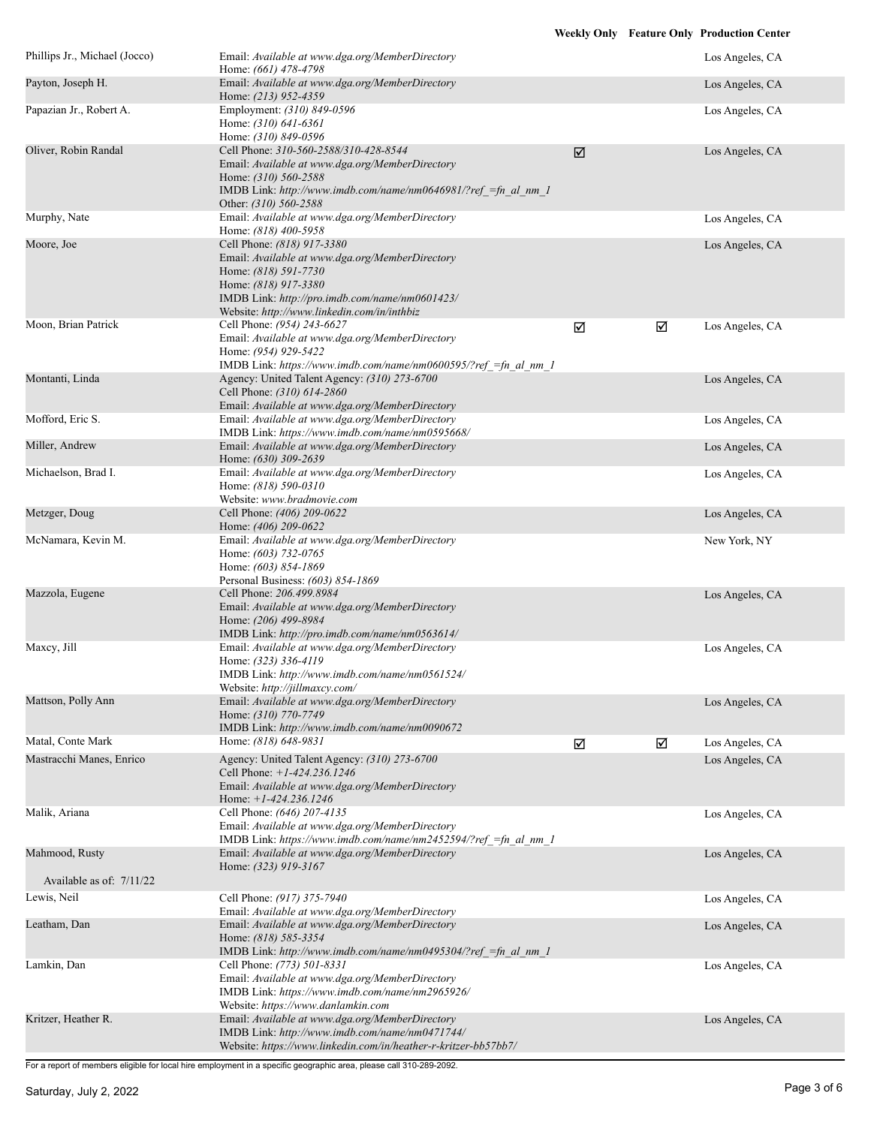|                                         |                                                                                                                                                                                                                                |   |   | <b>Weekly Only Feature Only Production Center</b> |
|-----------------------------------------|--------------------------------------------------------------------------------------------------------------------------------------------------------------------------------------------------------------------------------|---|---|---------------------------------------------------|
| Phillips Jr., Michael (Jocco)           | Email: Available at www.dga.org/MemberDirectory<br>Home: (661) 478-4798                                                                                                                                                        |   |   | Los Angeles, CA                                   |
| Payton, Joseph H.                       | Email: Available at www.dga.org/MemberDirectory<br>Home: (213) 952-4359                                                                                                                                                        |   |   | Los Angeles, CA                                   |
| Papazian Jr., Robert A.                 | Employment: (310) 849-0596<br>Home: (310) 641-6361<br>Home: (310) 849-0596                                                                                                                                                     |   |   | Los Angeles, CA                                   |
| Oliver, Robin Randal                    | Cell Phone: 310-560-2588/310-428-8544<br>Email: Available at www.dga.org/MemberDirectory<br>Home: $(310)$ 560-2588<br>IMDB Link: http://www.imdb.com/name/nm0646981/?ref =fn al nm 1<br>Other: (310) 560-2588                  | ☑ |   | Los Angeles, CA                                   |
| Murphy, Nate                            | Email: Available at www.dga.org/MemberDirectory<br>Home: (818) 400-5958                                                                                                                                                        |   |   | Los Angeles, CA                                   |
| Moore, Joe                              | Cell Phone: (818) 917-3380<br>Email: Available at www.dga.org/MemberDirectory<br>Home: (818) 591-7730<br>Home: (818) 917-3380<br>IMDB Link: http://pro.imdb.com/name/nm0601423/<br>Website: http://www.linkedin.com/in/inthbiz |   |   | Los Angeles, CA                                   |
| Moon, Brian Patrick                     | Cell Phone: (954) 243-6627<br>Email: Available at www.dga.org/MemberDirectory<br>Home: (954) 929-5422<br>IMDB Link: https://www.imdb.com/name/nm0600595/?ref =fn al nm 1                                                       | ☑ | ☑ | Los Angeles, CA                                   |
| Montanti, Linda                         | Agency: United Talent Agency: (310) 273-6700<br>Cell Phone: (310) 614-2860<br>Email: Available at www.dga.org/MemberDirectory                                                                                                  |   |   | Los Angeles, CA                                   |
| Mofford, Eric S.                        | Email: Available at www.dga.org/MemberDirectory<br>IMDB Link: https://www.imdb.com/name/nm0595668/                                                                                                                             |   |   | Los Angeles, CA                                   |
| Miller, Andrew                          | Email: Available at www.dga.org/MemberDirectory<br>Home: (630) 309-2639                                                                                                                                                        |   |   | Los Angeles, CA                                   |
| Michaelson, Brad I.                     | Email: Available at www.dga.org/MemberDirectory<br>Home: (818) 590-0310<br>Website: www.bradmovie.com                                                                                                                          |   |   | Los Angeles, CA                                   |
| Metzger, Doug                           | Cell Phone: (406) 209-0622<br>Home: (406) 209-0622                                                                                                                                                                             |   |   | Los Angeles, CA                                   |
| McNamara, Kevin M.                      | Email: Available at www.dga.org/MemberDirectory<br>Home: (603) 732-0765<br>Home: (603) 854-1869<br>Personal Business: (603) 854-1869                                                                                           |   |   | New York, NY                                      |
| Mazzola, Eugene                         | Cell Phone: 206.499.8984<br>Email: Available at www.dga.org/MemberDirectory<br>Home: (206) 499-8984<br>IMDB Link: http://pro.imdb.com/name/nm0563614/                                                                          |   |   | Los Angeles, CA                                   |
| Maxcy, Jill                             | Email: Available at www.dga.org/MemberDirectory<br>Home: (323) 336-4119<br>IMDB Link: http://www.imdb.com/name/nm0561524/<br>Website: http://jillmaxcy.com/                                                                    |   |   | Los Angeles, CA                                   |
| Mattson, Polly Ann                      | Email: Available at www.dga.org/MemberDirectory<br>Home: (310) 770-7749<br>IMDB Link: http://www.imdb.com/name/nm0090672                                                                                                       |   |   | Los Angeles, CA                                   |
| Matal, Conte Mark                       | Home: (818) 648-9831                                                                                                                                                                                                           | ☑ | ☑ | Los Angeles, CA                                   |
| Mastracchi Manes, Enrico                | Agency: United Talent Agency: (310) 273-6700<br>Cell Phone: $+1-424.236.1246$<br>Email: Available at www.dga.org/MemberDirectory<br>Home: $+1-424.236.1246$                                                                    |   |   | Los Angeles, CA                                   |
| Malik, Ariana                           | Cell Phone: (646) 207-4135<br>Email: Available at www.dga.org/MemberDirectory<br>IMDB Link: https://www.imdb.com/name/nm2452594/?ref =fn al nm 1                                                                               |   |   | Los Angeles, CA                                   |
| Mahmood, Rusty                          | Email: Available at www.dga.org/MemberDirectory<br>Home: (323) 919-3167                                                                                                                                                        |   |   | Los Angeles, CA                                   |
| Available as of: 7/11/22<br>Lewis, Neil | Cell Phone: (917) 375-7940                                                                                                                                                                                                     |   |   | Los Angeles, CA                                   |
|                                         | Email: Available at www.dga.org/MemberDirectory                                                                                                                                                                                |   |   |                                                   |
| Leatham, Dan                            | Email: Available at www.dga.org/MemberDirectory<br>Home: (818) 585-3354<br>IMDB Link: http://www.imdb.com/name/nm0495304/?ref =fn al nm 1                                                                                      |   |   | Los Angeles, CA                                   |
| Lamkin, Dan                             | Cell Phone: (773) 501-8331<br>Email: Available at www.dga.org/MemberDirectory<br>IMDB Link: https://www.imdb.com/name/nm2965926/<br>Website: https://www.danlamkin.com                                                         |   |   | Los Angeles, CA                                   |
| Kritzer, Heather R.                     | Email: Available at www.dga.org/MemberDirectory<br>IMDB Link: http://www.imdb.com/name/nm0471744/<br>Website: https://www.linkedin.com/in/heather-r-kritzer-bb57bb7/                                                           |   |   | Los Angeles, CA                                   |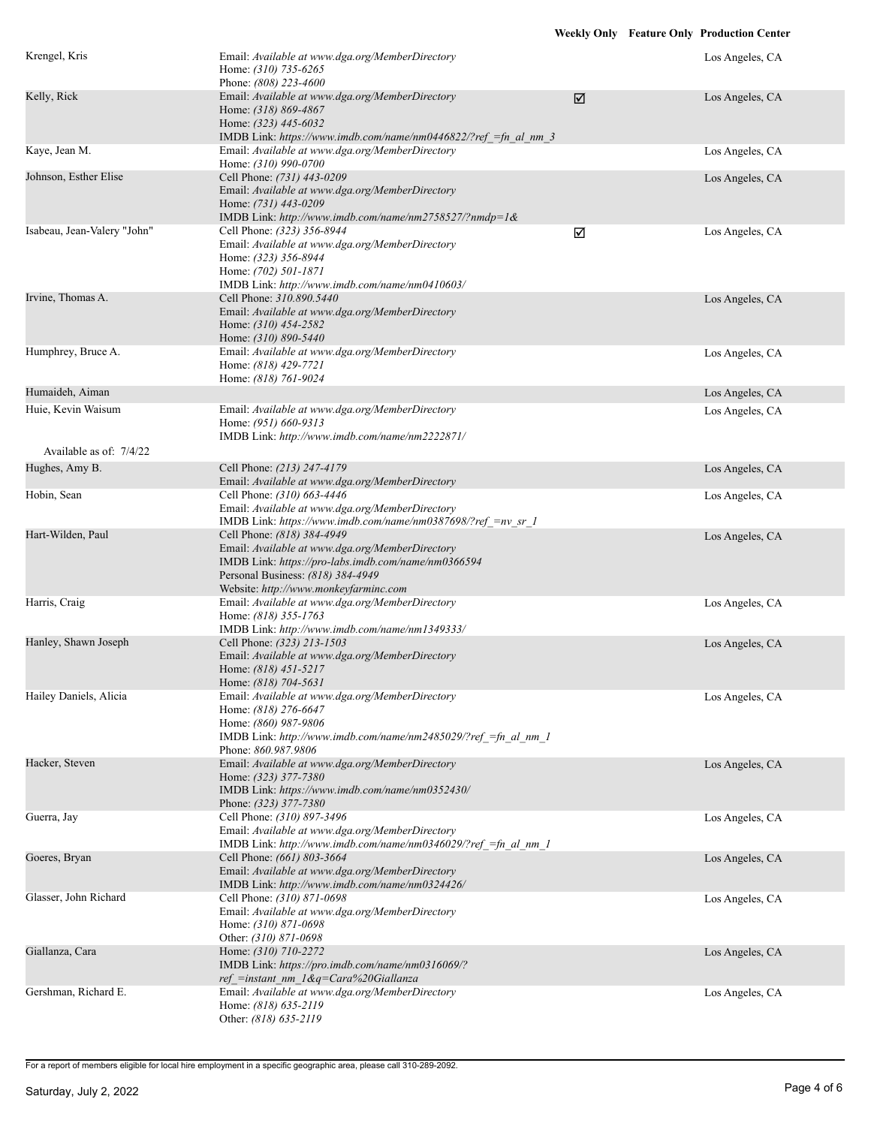| Krengel, Kris               | Email: Available at www.dga.org/MemberDirectory<br>Home: (310) 735-6265<br>Phone: (808) 223-4600                                                                                                                   |   | Los Angeles, CA |
|-----------------------------|--------------------------------------------------------------------------------------------------------------------------------------------------------------------------------------------------------------------|---|-----------------|
| Kelly, Rick                 | Email: Available at www.dga.org/MemberDirectory<br>Home: (318) 869-4867<br>Home: (323) 445-6032<br>IMDB Link: https://www.imdb.com/name/nm0446822/?ref = fn al nm 3                                                | ☑ | Los Angeles, CA |
| Kaye, Jean M.               | Email: Available at www.dga.org/MemberDirectory<br>Home: (310) 990-0700                                                                                                                                            |   | Los Angeles, CA |
| Johnson, Esther Elise       | Cell Phone: (731) 443-0209<br>Email: Available at www.dga.org/MemberDirectory<br>Home: (731) 443-0209<br>IMDB Link: http://www.imdb.com/name/nm2758527/?nmdp=1&                                                    |   | Los Angeles, CA |
| Isabeau, Jean-Valery "John" | Cell Phone: (323) 356-8944<br>Email: Available at www.dga.org/MemberDirectory<br>Home: (323) 356-8944<br>Home: (702) 501-1871<br>IMDB Link: http://www.imdb.com/name/nm0410603/                                    | ☑ | Los Angeles, CA |
| Irvine, Thomas A.           | Cell Phone: 310.890.5440<br>Email: Available at www.dga.org/MemberDirectory<br>Home: (310) 454-2582<br>Home: (310) 890-5440                                                                                        |   | Los Angeles, CA |
| Humphrey, Bruce A.          | Email: Available at www.dga.org/MemberDirectory<br>Home: (818) 429-7721<br>Home: (818) 761-9024                                                                                                                    |   | Los Angeles, CA |
| Humaideh, Aiman             |                                                                                                                                                                                                                    |   | Los Angeles, CA |
| Huie, Kevin Waisum          | Email: Available at www.dga.org/MemberDirectory<br>Home: (951) 660-9313<br>IMDB Link: http://www.imdb.com/name/nm2222871/                                                                                          |   | Los Angeles, CA |
| Available as of: 7/4/22     |                                                                                                                                                                                                                    |   |                 |
| Hughes, Amy B.              | Cell Phone: (213) 247-4179<br>Email: Available at www.dga.org/MemberDirectory                                                                                                                                      |   | Los Angeles, CA |
| Hobin, Sean                 | Cell Phone: (310) 663-4446<br>Email: Available at www.dga.org/MemberDirectory<br>IMDB Link: https://www.imdb.com/name/nm0387698/?ref =nv sr 1                                                                      |   | Los Angeles, CA |
| Hart-Wilden, Paul           | Cell Phone: (818) 384-4949<br>Email: Available at www.dga.org/MemberDirectory<br>IMDB Link: https://pro-labs.imdb.com/name/nm0366594<br>Personal Business: (818) 384-4949<br>Website: http://www.monkeyfarminc.com |   | Los Angeles, CA |
| Harris, Craig               | Email: Available at www.dga.org/MemberDirectory<br>Home: (818) 355-1763<br>IMDB Link: http://www.imdb.com/name/nm1349333/                                                                                          |   | Los Angeles, CA |
| Hanley, Shawn Joseph        | Cell Phone: (323) 213-1503<br>Email: Available at www.dga.org/MemberDirectory<br>Home: (818) 451-5217<br>Home: (818) 704-5631                                                                                      |   | Los Angeles, CA |
| Hailey Daniels, Alicia      | Email: Available at www.dga.org/MemberDirectory<br>Home: (818) 276-6647<br>Home: (860) 987-9806<br>IMDB Link: http://www.imdb.com/name/nm2485029/?ref =fn al nm 1<br>Phone: 860.987.9806                           |   | Los Angeles, CA |
| Hacker, Steven              | Email: Available at www.dga.org/MemberDirectory<br>Home: (323) 377-7380<br>IMDB Link: https://www.imdb.com/name/nm0352430/<br>Phone: (323) 377-7380                                                                |   | Los Angeles, CA |
| Guerra, Jay                 | Cell Phone: (310) 897-3496<br>Email: Available at www.dga.org/MemberDirectory<br>IMDB Link: http://www.imdb.com/name/nm0346029/?ref =fn al nm 1                                                                    |   | Los Angeles, CA |
| Goeres, Bryan               | Cell Phone: (661) 803-3664<br>Email: Available at www.dga.org/MemberDirectory<br>IMDB Link: http://www.imdb.com/name/nm0324426/                                                                                    |   | Los Angeles, CA |
| Glasser, John Richard       | Cell Phone: (310) 871-0698<br>Email: Available at www.dga.org/MemberDirectory<br>Home: (310) 871-0698<br>Other: (310) 871-0698                                                                                     |   | Los Angeles, CA |
| Giallanza, Cara             | Home: (310) 710-2272<br>IMDB Link: https://pro.imdb.com/name/nm0316069/?<br>ref = instant nm $1 \& q = \text{Cara} \& 20 \text{Giallanza}$                                                                         |   | Los Angeles, CA |
| Gershman, Richard E.        | Email: Available at www.dga.org/MemberDirectory<br>Home: (818) 635-2119<br>Other: (818) 635-2119                                                                                                                   |   | Los Angeles, CA |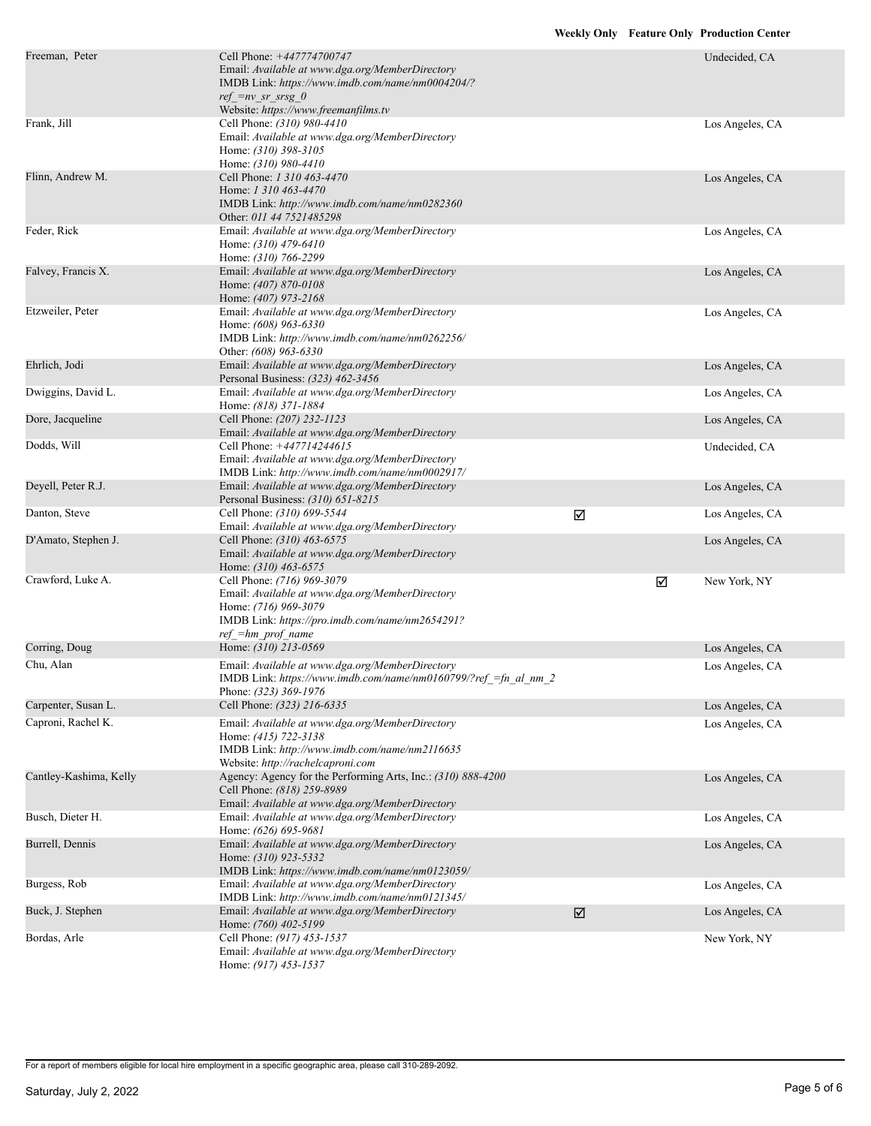| Freeman, Peter         | Cell Phone: +447774700747<br>Email: Available at www.dga.org/MemberDirectory<br>IMDB Link: https://www.imdb.com/name/nm0004204/?<br>$ref = nv sr srsg 0$<br>Website: https://www.freemanfilms.tv |   |   | Undecided, CA   |
|------------------------|--------------------------------------------------------------------------------------------------------------------------------------------------------------------------------------------------|---|---|-----------------|
| Frank, Jill            | Cell Phone: (310) 980-4410<br>Email: Available at www.dga.org/MemberDirectory<br>Home: (310) 398-3105<br>Home: (310) 980-4410                                                                    |   |   | Los Angeles, CA |
| Flinn, Andrew M.       | Cell Phone: 1 310 463-4470<br>Home: 1 310 463-4470<br>IMDB Link: http://www.imdb.com/name/nm0282360<br>Other: 011 44 7521485298                                                                  |   |   | Los Angeles, CA |
| Feder, Rick            | Email: Available at www.dga.org/MemberDirectory<br>Home: (310) 479-6410<br>Home: (310) 766-2299                                                                                                  |   |   | Los Angeles, CA |
| Falvey, Francis X.     | Email: Available at www.dga.org/MemberDirectory<br>Home: (407) 870-0108<br>Home: (407) 973-2168                                                                                                  |   |   | Los Angeles, CA |
| Etzweiler, Peter       | Email: Available at www.dga.org/MemberDirectory<br>Home: (608) 963-6330<br>IMDB Link: http://www.imdb.com/name/nm0262256/<br>Other: (608) 963-6330                                               |   |   | Los Angeles, CA |
| Ehrlich, Jodi          | Email: Available at www.dga.org/MemberDirectory<br>Personal Business: (323) 462-3456                                                                                                             |   |   | Los Angeles, CA |
| Dwiggins, David L.     | Email: Available at www.dga.org/MemberDirectory<br>Home: (818) 371-1884                                                                                                                          |   |   | Los Angeles, CA |
| Dore, Jacqueline       | Cell Phone: (207) 232-1123<br>Email: Available at www.dga.org/MemberDirectory                                                                                                                    |   |   | Los Angeles, CA |
| Dodds, Will            | Cell Phone: +447714244615<br>Email: Available at www.dga.org/MemberDirectory<br>IMDB Link: http://www.imdb.com/name/nm0002917/                                                                   |   |   | Undecided, CA   |
| Deyell, Peter R.J.     | Email: Available at www.dga.org/MemberDirectory<br>Personal Business: (310) 651-8215                                                                                                             |   |   | Los Angeles, CA |
| Danton, Steve          | Cell Phone: (310) 699-5544<br>Email: Available at www.dga.org/MemberDirectory                                                                                                                    | ☑ |   | Los Angeles, CA |
| D'Amato, Stephen J.    | Cell Phone: (310) 463-6575<br>Email: Available at www.dga.org/MemberDirectory<br>Home: (310) 463-6575                                                                                            |   |   | Los Angeles, CA |
| Crawford, Luke A.      | Cell Phone: (716) 969-3079<br>Email: Available at www.dga.org/MemberDirectory<br>Home: (716) 969-3079<br>IMDB Link: https://pro.imdb.com/name/nm2654291?<br>$ref = hm$ prof name                 |   | ☑ | New York, NY    |
| Corring, Doug          | Home: (310) 213-0569                                                                                                                                                                             |   |   | Los Angeles, CA |
| Chu, Alan              | Email: Available at www.dga.org/MemberDirectory<br>IMDB Link: https://www.imdb.com/name/nm0160799/?ref_=fn_al_nm_2<br>Phone: (323) 369-1976                                                      |   |   | Los Angeles, CA |
| Carpenter, Susan L.    | Cell Phone: (323) 216-6335                                                                                                                                                                       |   |   | Los Angeles, CA |
| Caproni, Rachel K.     | Email: Available at www.dga.org/MemberDirectory<br>Home: (415) 722-3138<br>IMDB Link: http://www.imdb.com/name/nm2116635<br>Website: http://rachelcaproni.com                                    |   |   | Los Angeles, CA |
| Cantley-Kashima, Kelly | Agency: Agency for the Performing Arts, Inc.: (310) 888-4200<br>Cell Phone: (818) 259-8989<br>Email: Available at www.dga.org/MemberDirectory                                                    |   |   | Los Angeles, CA |
| Busch, Dieter H.       | Email: Available at www.dga.org/MemberDirectory<br>Home: (626) 695-9681                                                                                                                          |   |   | Los Angeles, CA |
| Burrell, Dennis        | Email: Available at www.dga.org/MemberDirectory<br>Home: (310) 923-5332<br>IMDB Link: https://www.imdb.com/name/nm0123059/                                                                       |   |   | Los Angeles, CA |
| Burgess, Rob           | Email: Available at www.dga.org/MemberDirectory<br>IMDB Link: http://www.imdb.com/name/nm0121345/                                                                                                |   |   | Los Angeles, CA |
| Buck, J. Stephen       | Email: Available at www.dga.org/MemberDirectory<br>Home: (760) 402-5199                                                                                                                          | ☑ |   | Los Angeles, CA |
| Bordas, Arle           | Cell Phone: (917) 453-1537<br>Email: Available at www.dga.org/MemberDirectory<br>Home: (917) 453-1537                                                                                            |   |   | New York, NY    |